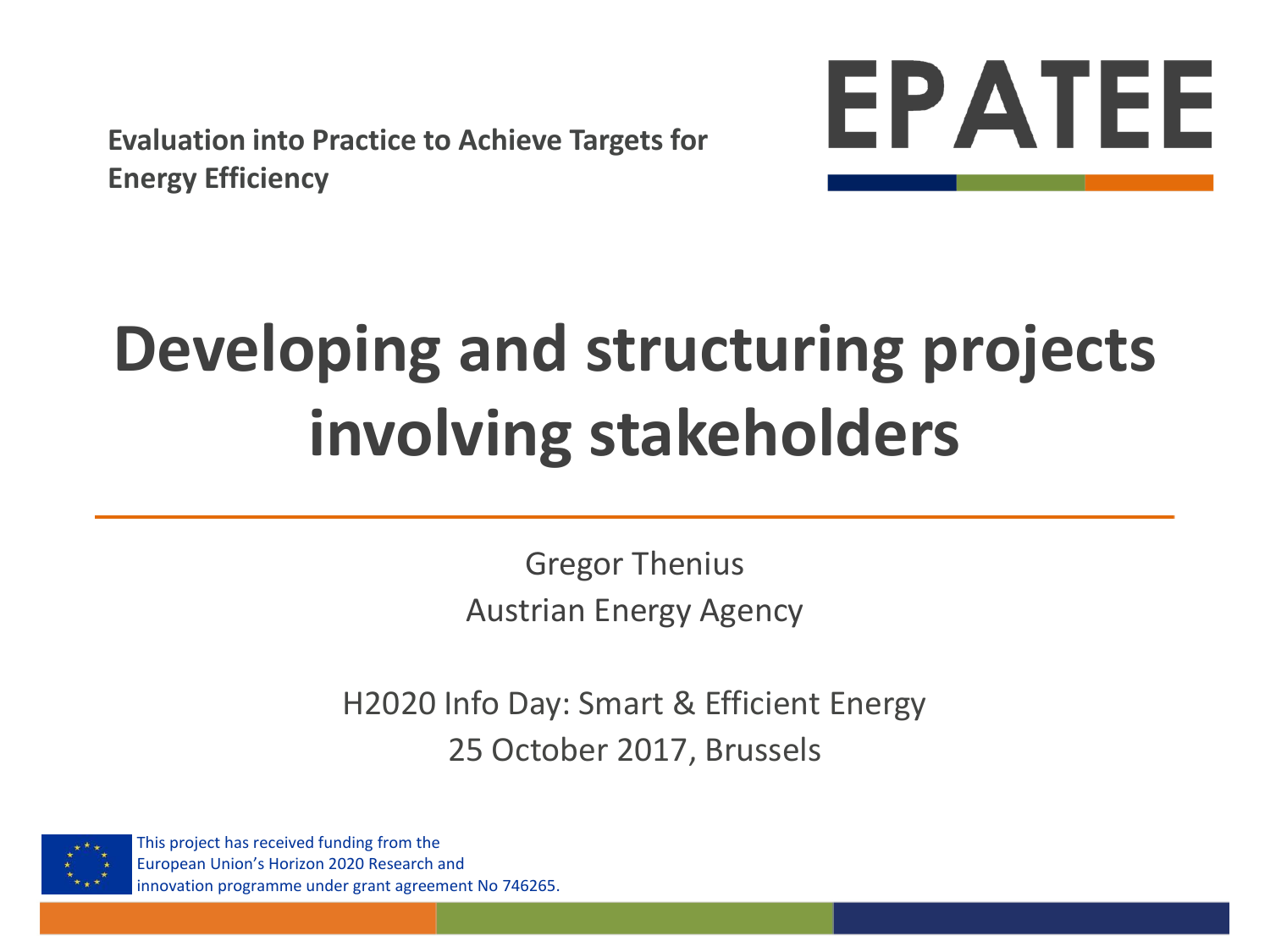**Evaluation into Practice to Achieve Targets for Energy Efficiency**



## **Developing and structuring projects involving stakeholders**

Gregor Thenius Austrian Energy Agency

H2020 Info Day: Smart & Efficient Energy 25 October 2017, Brussels



This project has received funding from the European Union's Horizon 2020 Research and innovation programme under grant agreement No 746265.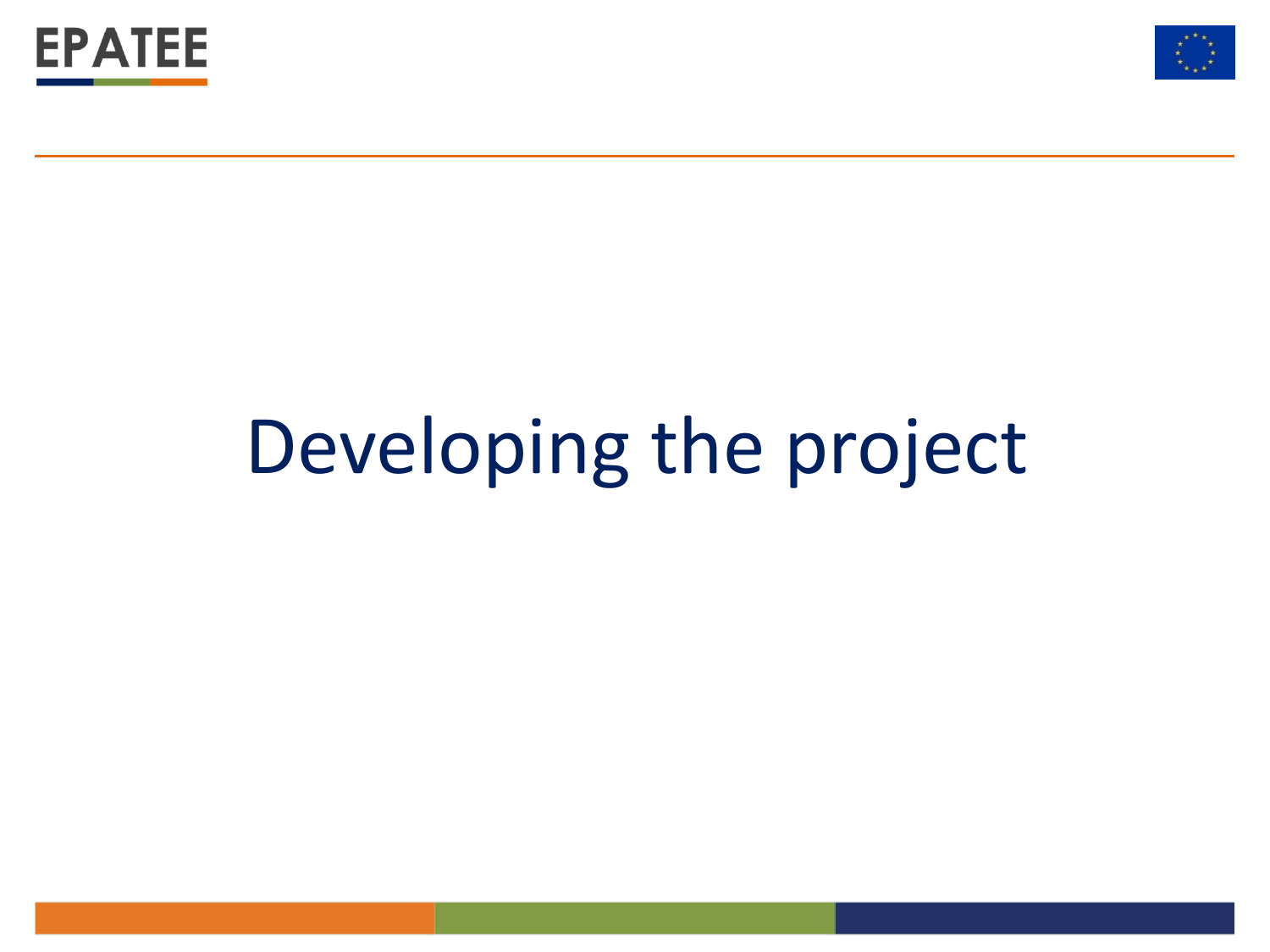



## Developing the project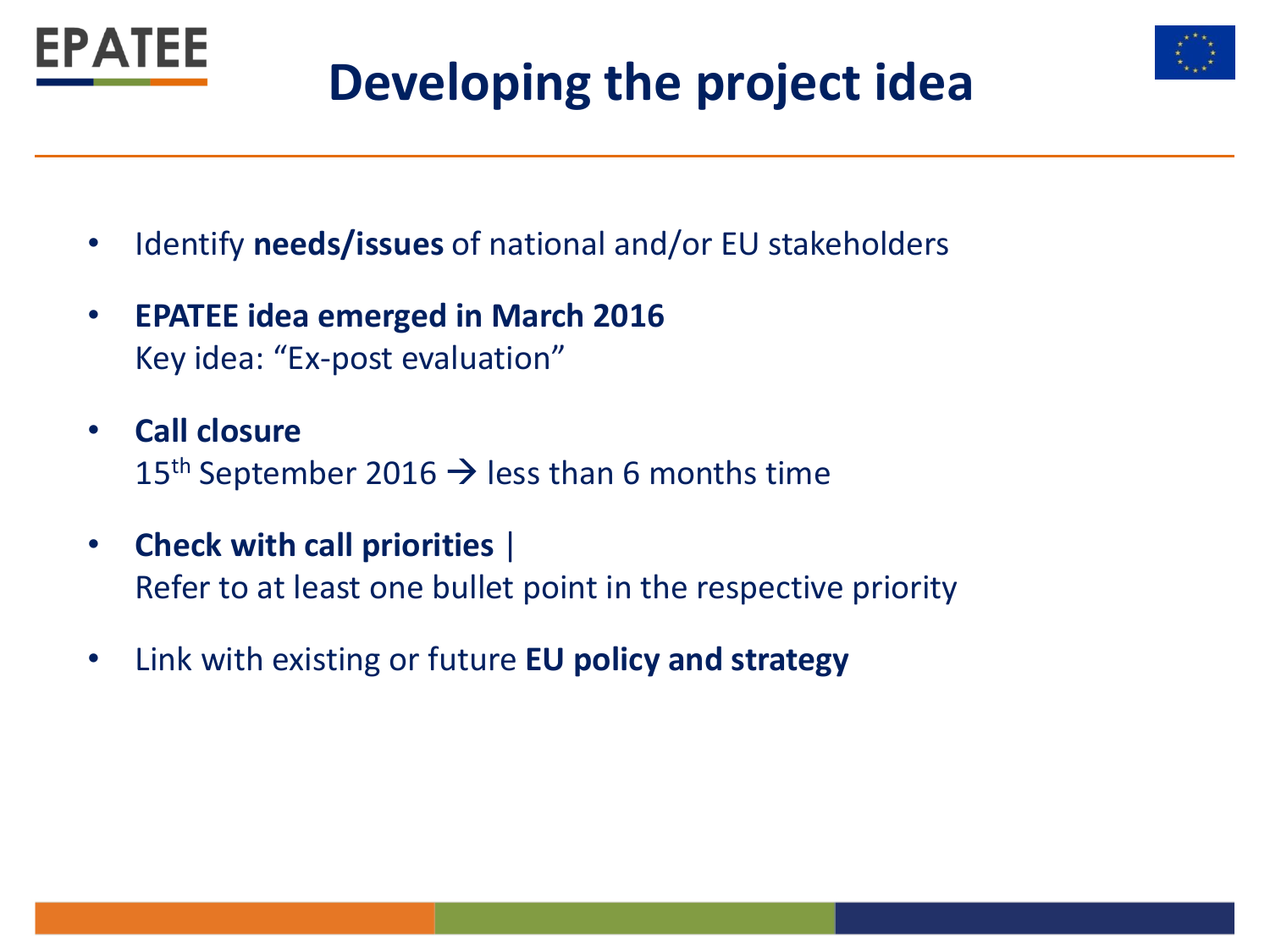



## **Developing the project idea**

- Identify **needs/issues** of national and/or EU stakeholders
- **EPATEE idea emerged in March 2016**  Key idea: "Ex-post evaluation"
- **Call closure** 15<sup>th</sup> September 2016  $\rightarrow$  less than 6 months time
- **Check with call priorities** | Refer to at least one bullet point in the respective priority
- Link with existing or future **EU policy and strategy**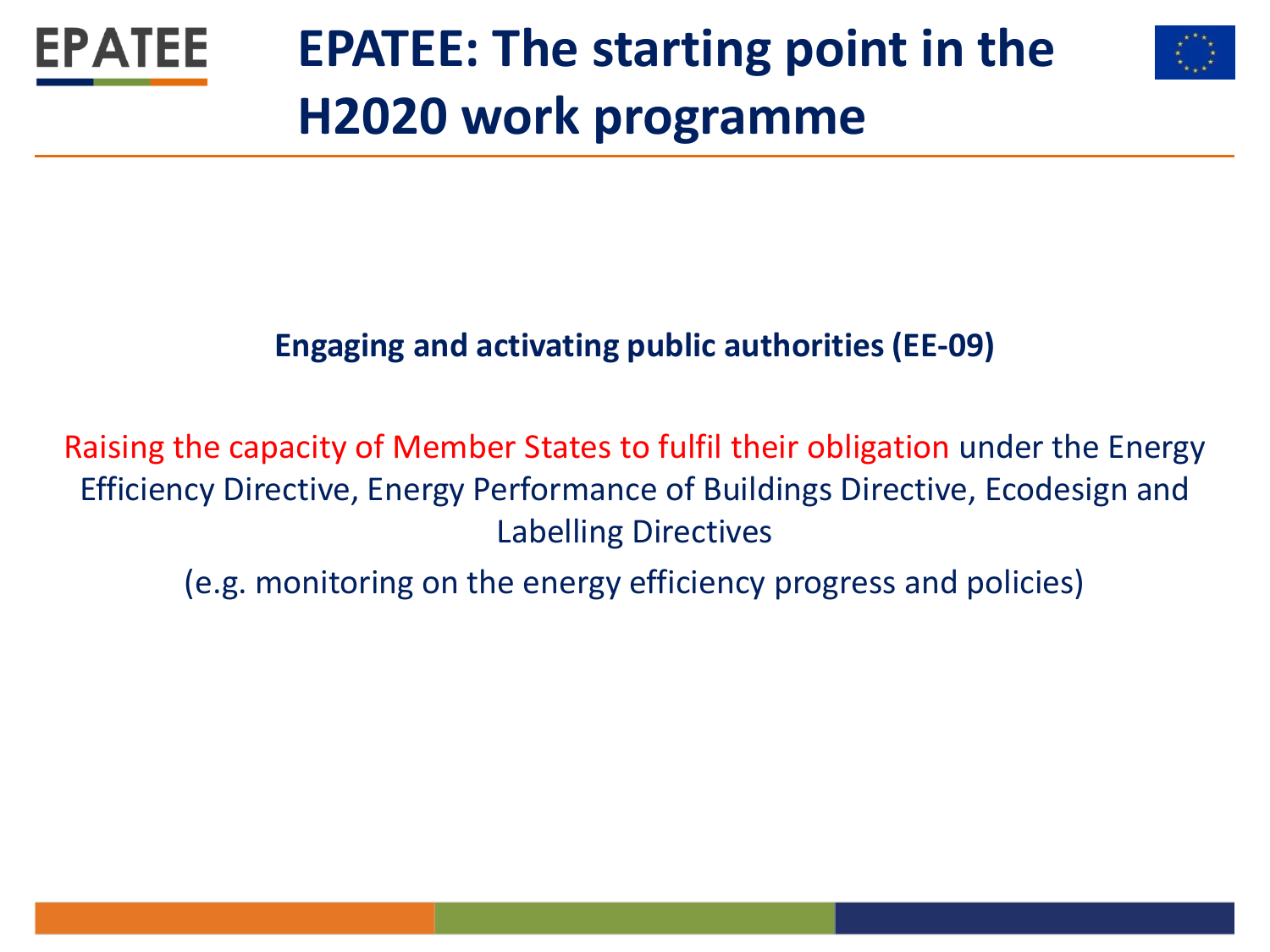

## **EPATEE: The starting point in the H2020 work programme**



#### **Engaging and activating public authorities (EE-09)**

Raising the capacity of Member States to fulfil their obligation under the Energy Efficiency Directive, Energy Performance of Buildings Directive, Ecodesign and Labelling Directives

(e.g. monitoring on the energy efficiency progress and policies)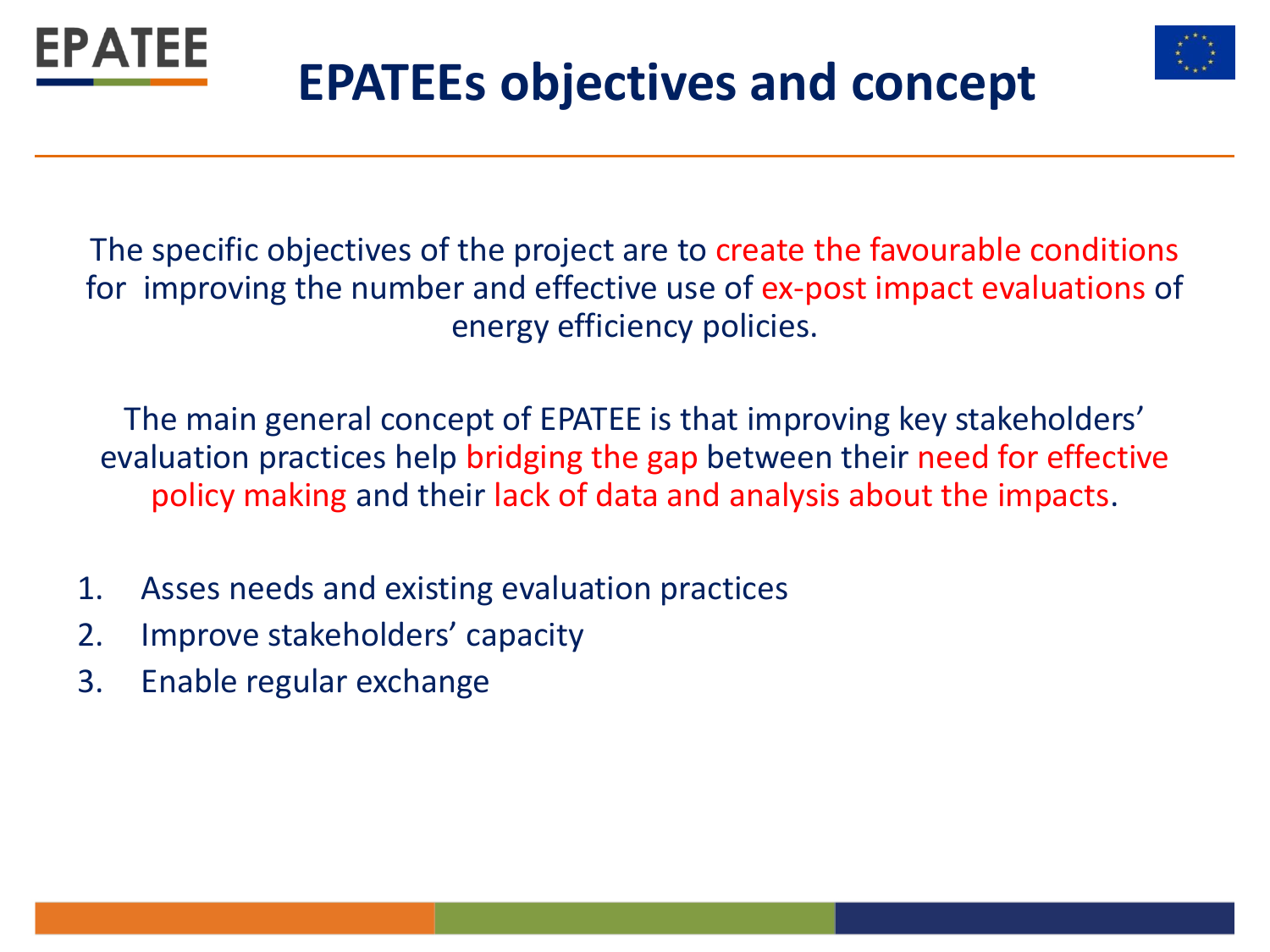



## **EPATEEs objectives and concept**

The specific objectives of the project are to create the favourable conditions for improving the number and effective use of ex-post impact evaluations of energy efficiency policies.

The main general concept of EPATEE is that improving key stakeholders' evaluation practices help bridging the gap between their need for effective policy making and their lack of data and analysis about the impacts.

- 1. Asses needs and existing evaluation practices
- 2. Improve stakeholders' capacity
- 3. Enable regular exchange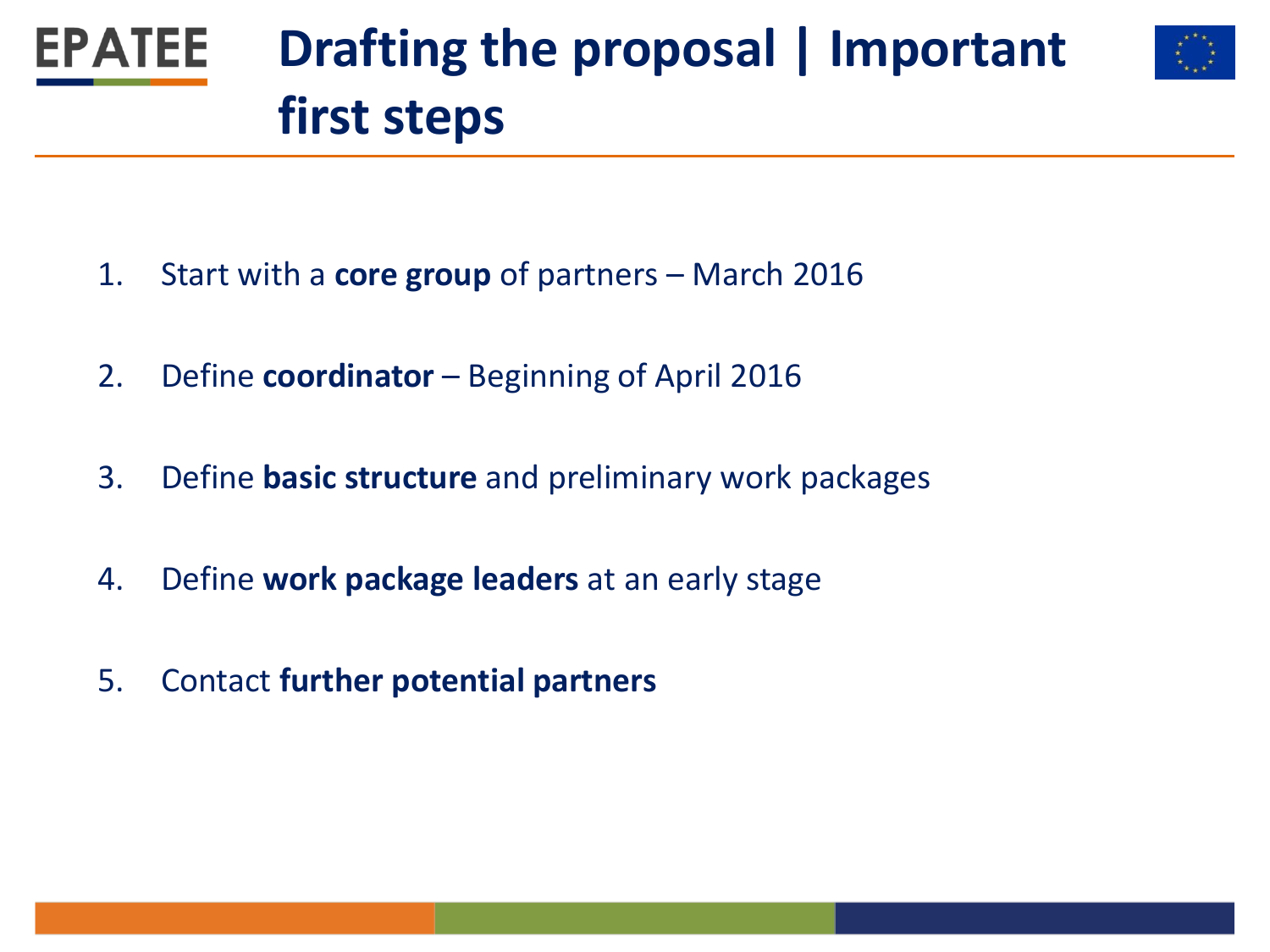

- 1. Start with a **core group** of partners March 2016
- 2. Define **coordinator** Beginning of April 2016
- 3. Define **basic structure** and preliminary work packages
- 4. Define **work package leaders** at an early stage
- 5. Contact **further potential partners**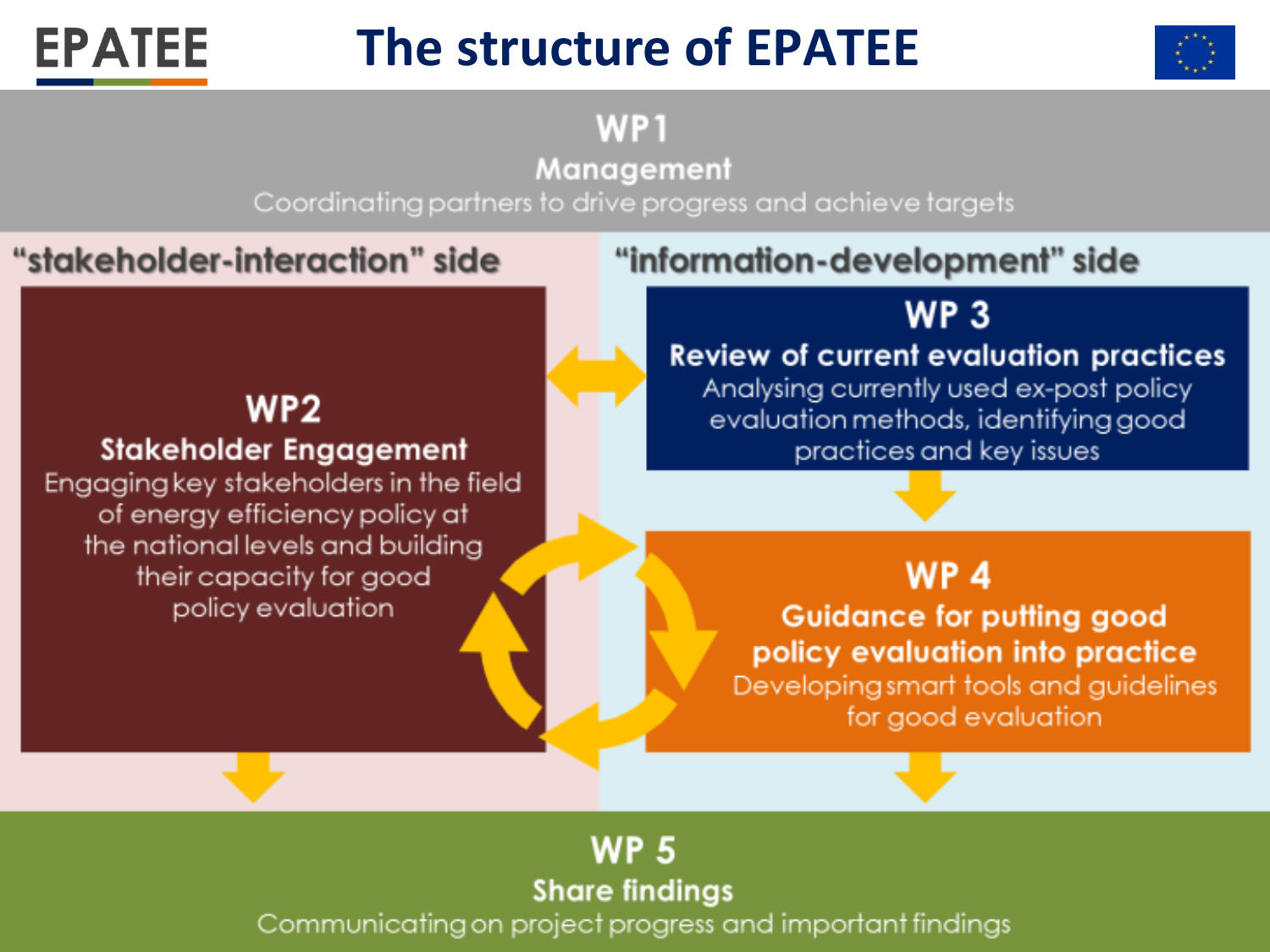## **The structure of EPATEE**



WP<sub>1</sub>

Management

Coordinating partners to drive progress and achieve targets

#### "stakeholder-interaction" side

**EPATEE** 

**Structure of EPATEER** 

**Stakeholder Engagement** 

Engaging key stakeholders in the field of energy efficiency policy at the national levels and building

> their capacity for good policy evaluation

#### "information-development" side

### **WP3**

#### **Review of current evaluation practices**

Analysing currently used ex-post policy evaluation methods, identifying good practices and key issues

#### WP<sub>4</sub>

**Guidance for putting good** policy evaluation into practice Developing smart tools and guidelines for good evaluation

#### **WP 5 Share findings**

Communicating on project progress and important findings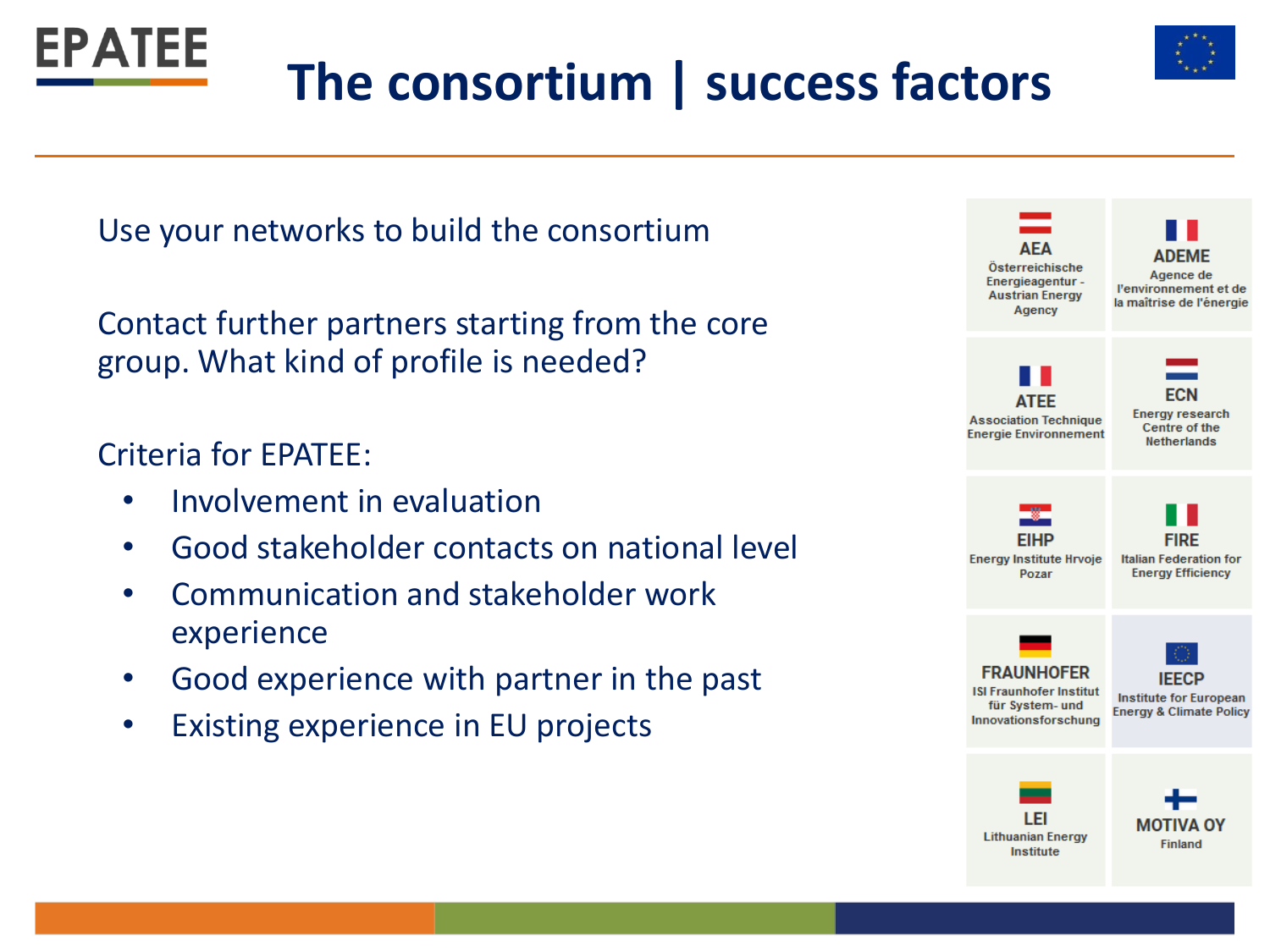



## **The consortium | success factors**

Use your networks to build the consortium

Contact further partners starting from the core group. What kind of profile is needed?

#### Criteria for EPATEE:

- Involvement in evaluation
- Good stakeholder contacts on national level
- Communication and stakeholder work experience
- Good experience with partner in the past
- Existing experience in EU projects

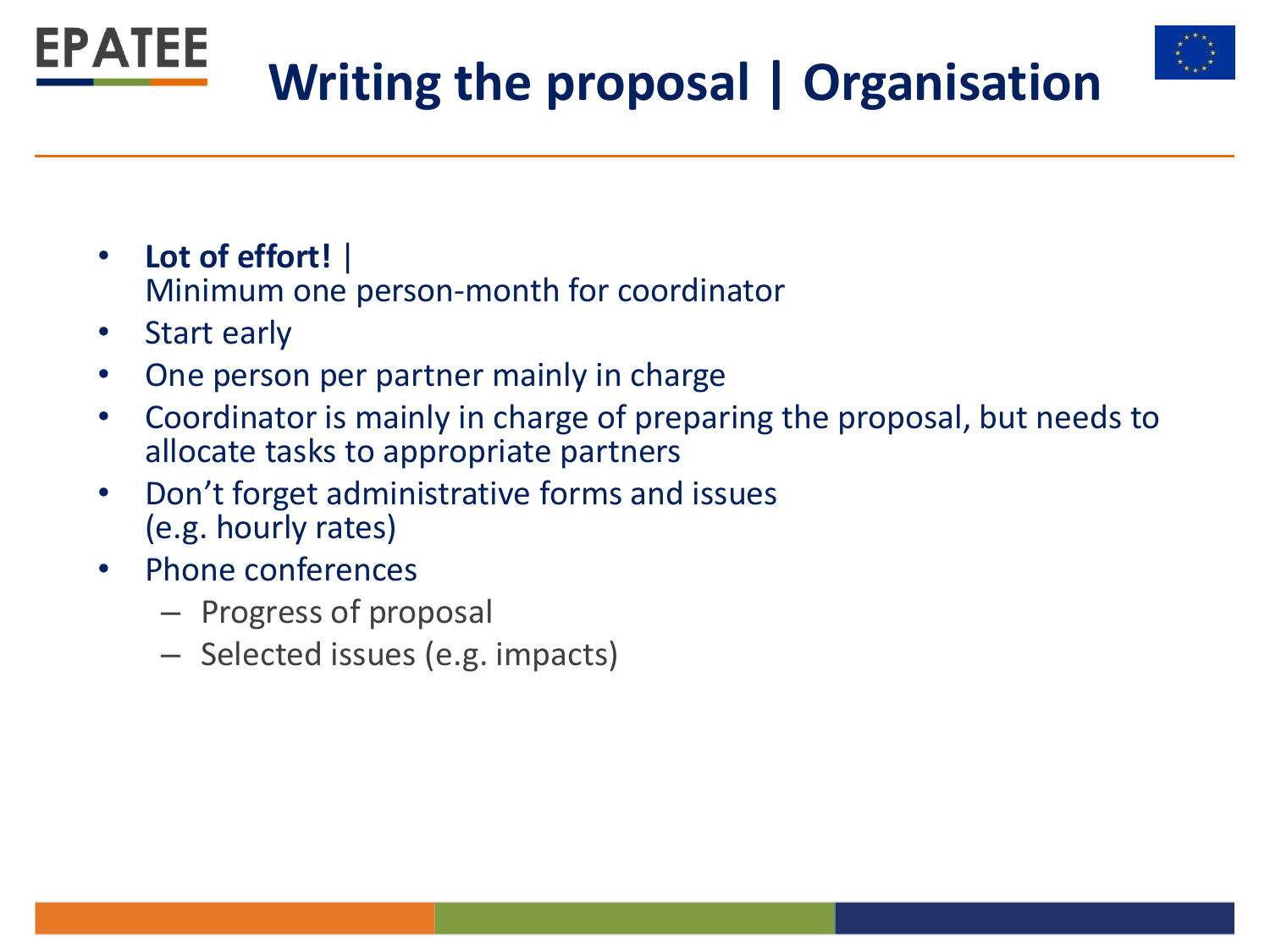

- **Lot of effort!** | Minimum one person-month for coordinator
- Start early
- One person per partner mainly in charge
- Coordinator is mainly in charge of preparing the proposal, but needs to allocate tasks to appropriate partners
- Don't forget administrative forms and issues (e.g. hourly rates)
- Phone conferences
	- Progress of proposal
	- Selected issues (e.g. impacts)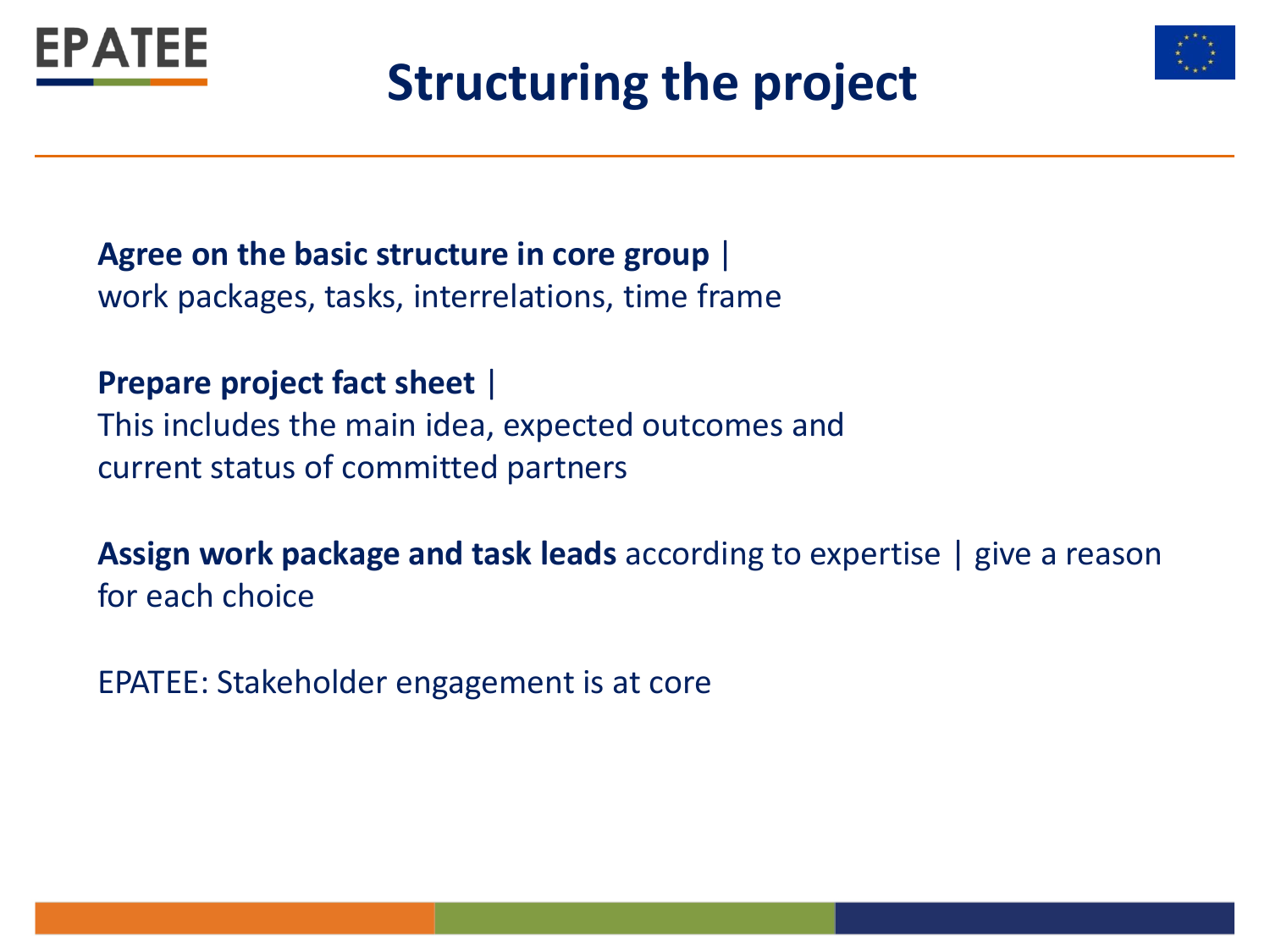

## **Structuring the project**



**Agree on the basic structure in core group** | work packages, tasks, interrelations, time frame

**Prepare project fact sheet** |

This includes the main idea, expected outcomes and current status of committed partners

**Assign work package and task leads** according to expertise | give a reason for each choice

EPATEE: Stakeholder engagement is at core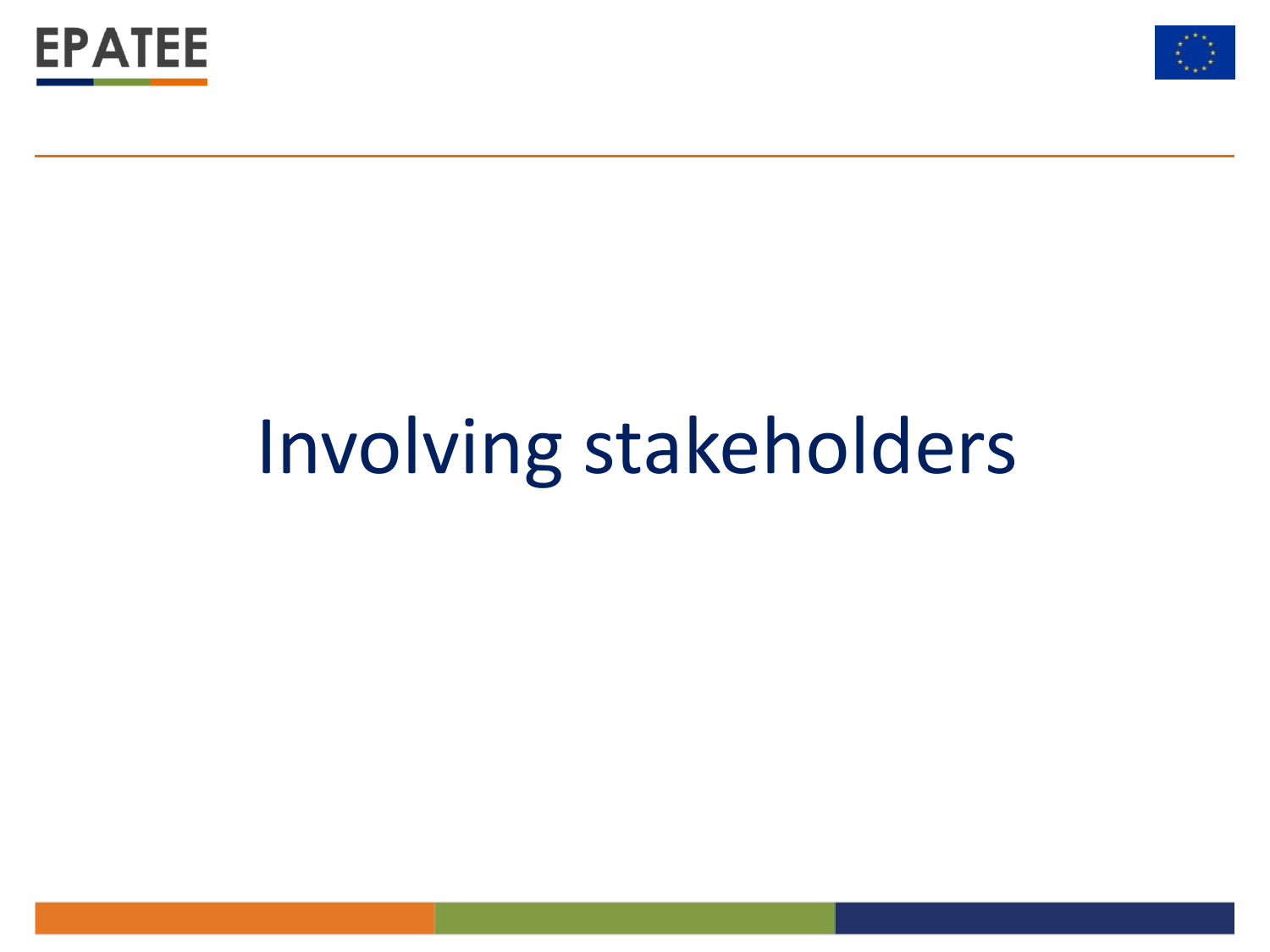



## Involving stakeholders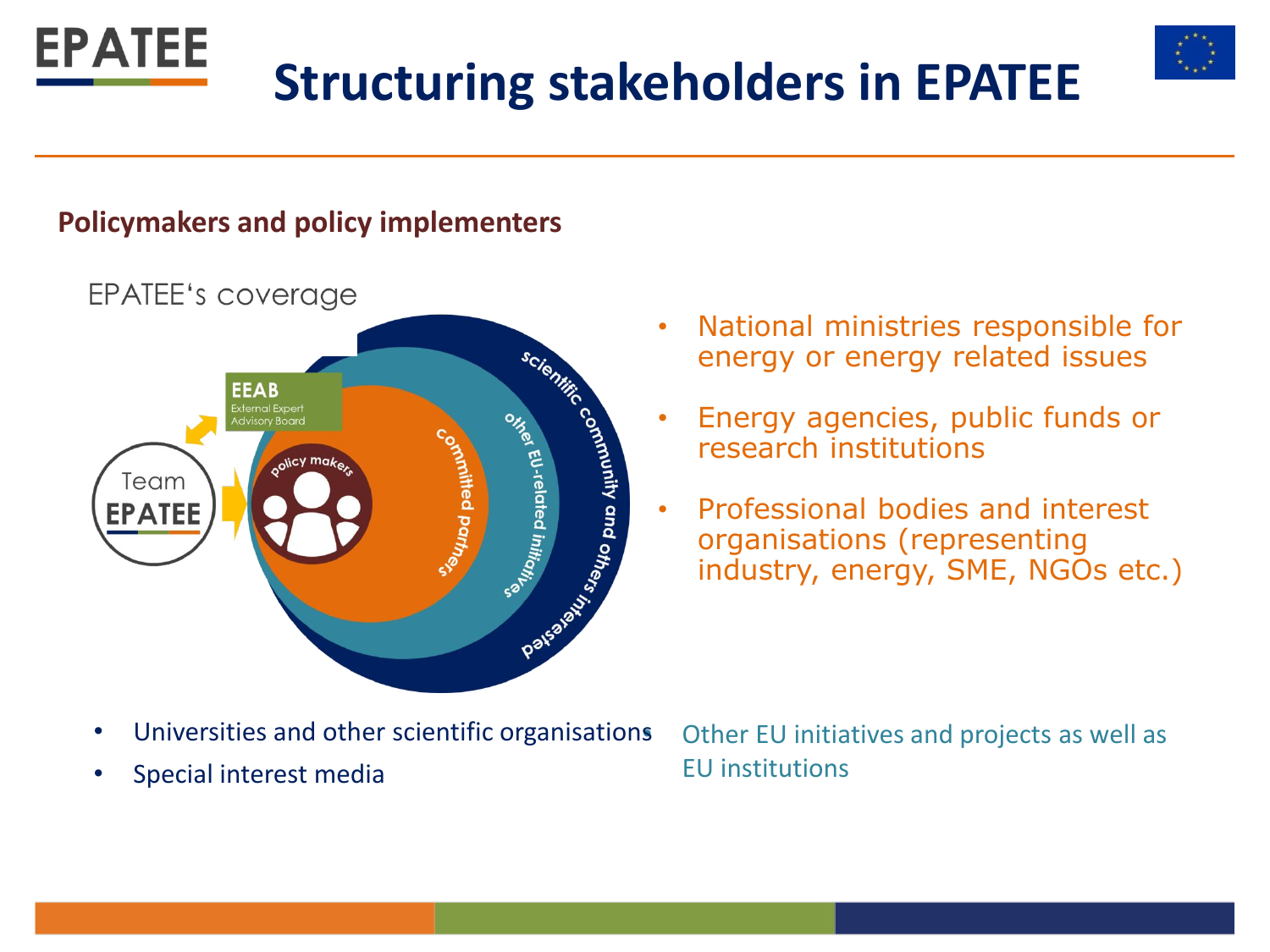

#### **Policymakers and policy implementers**



EPATEE's coverage

- National ministries responsible for energy or energy related issues
- Energy agencies, public funds or research institutions
- Professional bodies and interest organisations (representing industry, energy, SME, NGOs etc.)

- Universities and other scientific organisations
- Special interest media

• Other EU initiatives and projects as well as EU institutions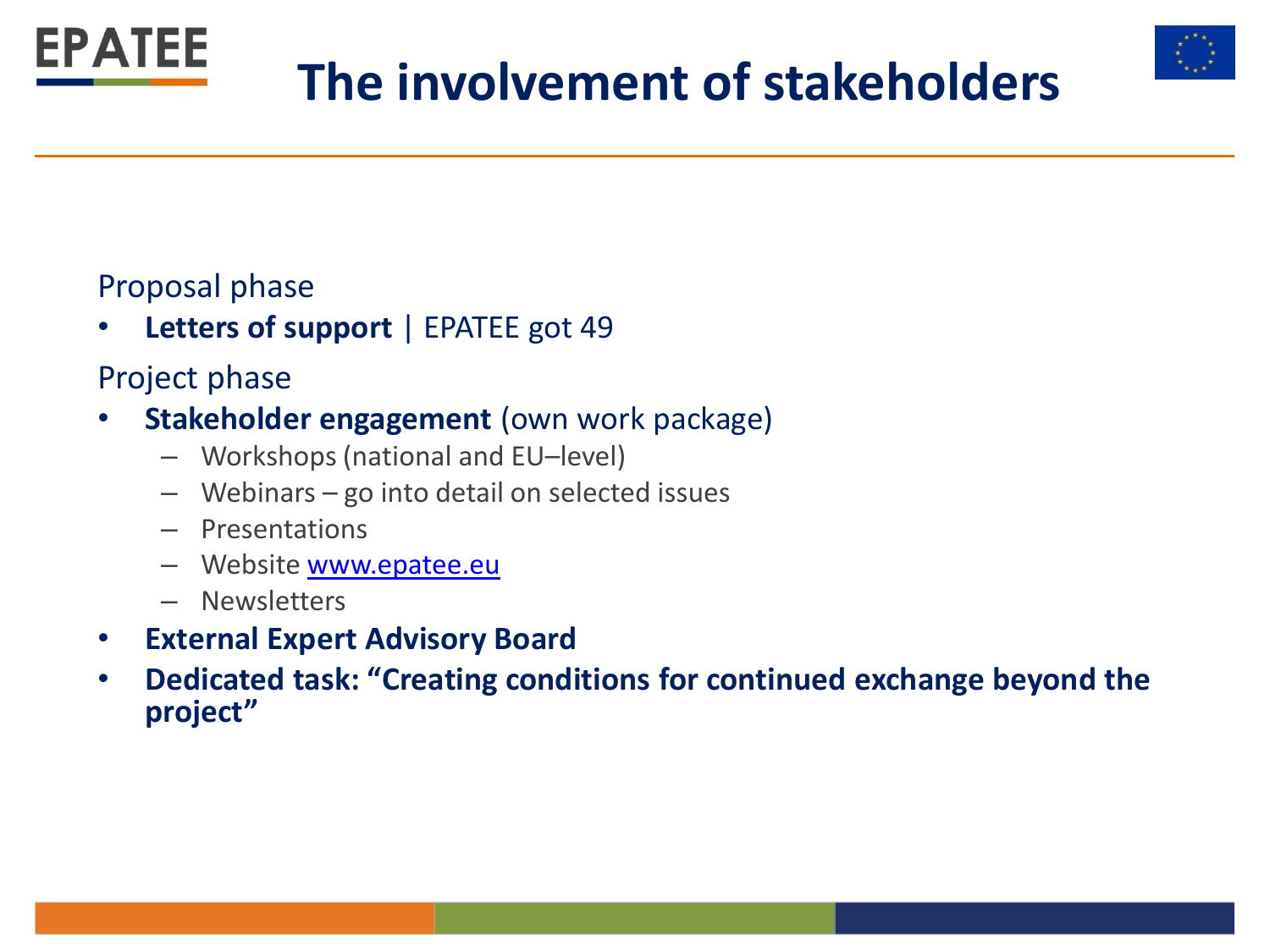

## **The involvement of stakeholders**



• **Letters of support** | EPATEE got 49

#### Project phase

- **Stakeholder engagement** (own work package)
	- Workshops (national and EU–level)
	- Webinars go into detail on selected issues
	- Presentations
	- Website [www.epatee.eu](http://www.epatee.eu/)
	- Newsletters
- **External Expert Advisory Board**
- **Dedicated task: "Creating conditions for continued exchange beyond the project"**

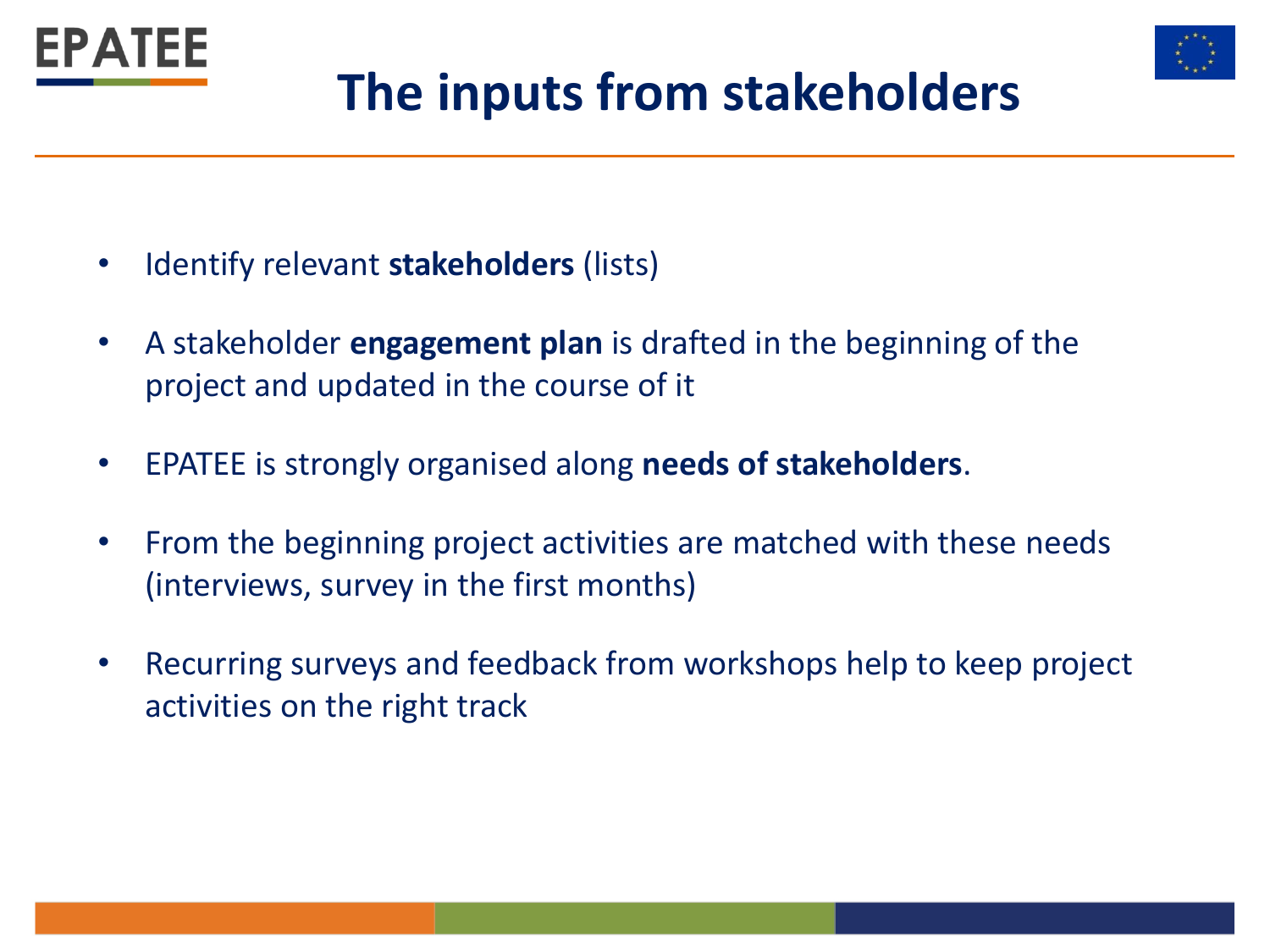



## **The inputs from stakeholders**

- Identify relevant **stakeholders** (lists)
- A stakeholder **engagement plan** is drafted in the beginning of the project and updated in the course of it
- EPATEE is strongly organised along **needs of stakeholders**.
- From the beginning project activities are matched with these needs (interviews, survey in the first months)
- Recurring surveys and feedback from workshops help to keep project activities on the right track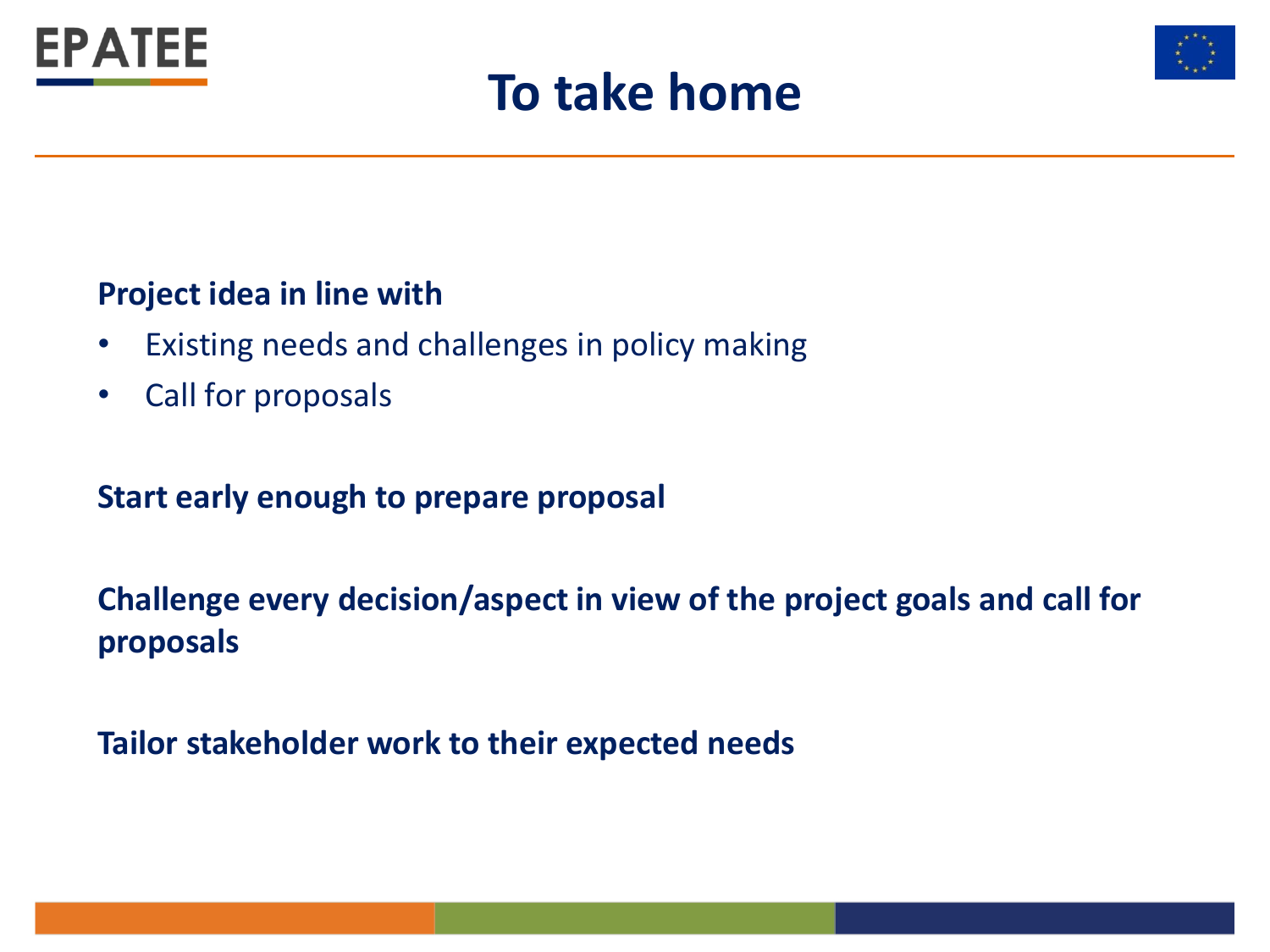





#### **Project idea in line with**

- Existing needs and challenges in policy making
- Call for proposals

#### **Start early enough to prepare proposal**

#### **Challenge every decision/aspect in view of the project goals and call for proposals**

**Tailor stakeholder work to their expected needs**